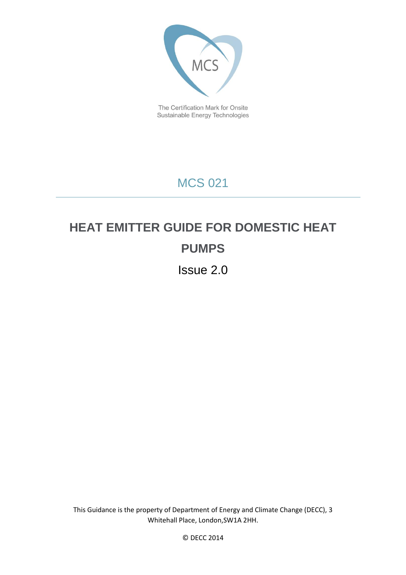

The Certification Mark for Onsite Sustainable Energy Technologies

# MCS 021

# **HEAT EMITTER GUIDE FOR DOMESTIC HEAT PUMPS** Issue 2.0

This Guidance is the property of Department of Energy and Climate Change (DECC), 3 Whitehall Place, London,SW1A 2HH.

© DECC 2014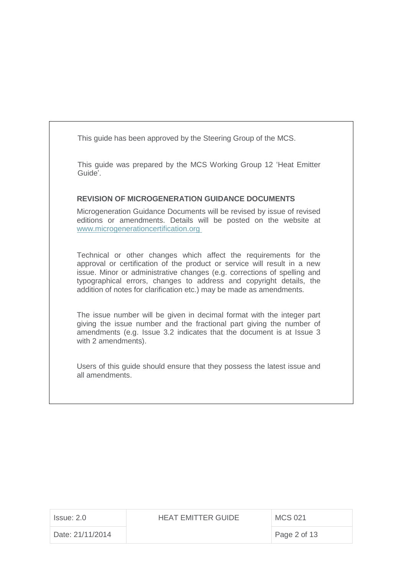This guide has been approved by the Steering Group of the MCS.

This guide was prepared by the MCS Working Group 12 'Heat Emitter Guide'.

### **REVISION OF MICROGENERATION GUIDANCE DOCUMENTS**

Microgeneration Guidance Documents will be revised by issue of revised editions or amendments. Details will be posted on the website at [www.microgenerationcertification.org](http://www.microgenerationcertification.org/)

Technical or other changes which affect the requirements for the approval or certification of the product or service will result in a new issue. Minor or administrative changes (e.g. corrections of spelling and typographical errors, changes to address and copyright details, the addition of notes for clarification etc.) may be made as amendments.

The issue number will be given in decimal format with the integer part giving the issue number and the fractional part giving the number of amendments (e.g. Issue 3.2 indicates that the document is at Issue 3 with 2 amendments).

Users of this guide should ensure that they possess the latest issue and all amendments.

| Issue: 2.0       | <b>HEAT EMITTER GUIDE</b> | <b>MCS 021</b> |
|------------------|---------------------------|----------------|
| Date: 21/11/2014 |                           | Page 2 of 13   |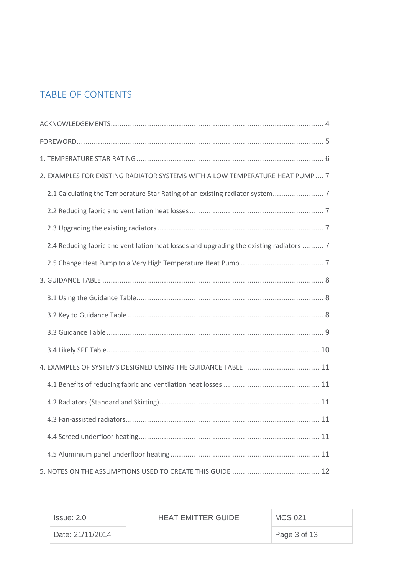## TABLE OF CONTENTS

| 2. EXAMPLES FOR EXISTING RADIATOR SYSTEMS WITH A LOW TEMPERATURE HEAT PUMP  7           |
|-----------------------------------------------------------------------------------------|
| 2.1 Calculating the Temperature Star Rating of an existing radiator system 7            |
|                                                                                         |
|                                                                                         |
| 2.4 Reducing fabric and ventilation heat losses and upgrading the existing radiators  7 |
|                                                                                         |
|                                                                                         |
|                                                                                         |
|                                                                                         |
|                                                                                         |
|                                                                                         |
| 4. EXAMPLES OF SYSTEMS DESIGNED USING THE GUIDANCE TABLE  11                            |
|                                                                                         |
|                                                                                         |
|                                                                                         |
|                                                                                         |
|                                                                                         |
|                                                                                         |

| Issue: 2.0       | HEAT EMITTER GUIDE | MCS 021      |
|------------------|--------------------|--------------|
| Date: 21/11/2014 |                    | Page 3 of 13 |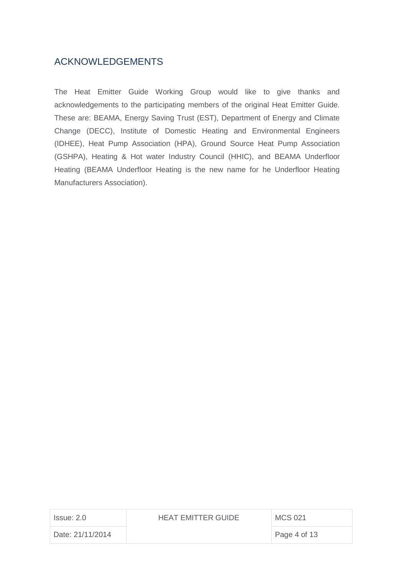## <span id="page-3-0"></span>ACKNOWLEDGEMENTS

The Heat Emitter Guide Working Group would like to give thanks and acknowledgements to the participating members of the original Heat Emitter Guide. These are: BEAMA, Energy Saving Trust (EST), Department of Energy and Climate Change (DECC), Institute of Domestic Heating and Environmental Engineers (IDHEE), Heat Pump Association (HPA), Ground Source Heat Pump Association (GSHPA), Heating & Hot water Industry Council (HHIC), and BEAMA Underfloor Heating (BEAMA Underfloor Heating is the new name for he Underfloor Heating Manufacturers Association).

| Issue: 2.0       | <b>HEAT EMITTER GUIDE</b> | MCS 021      |
|------------------|---------------------------|--------------|
| Date: 21/11/2014 |                           | Page 4 of 13 |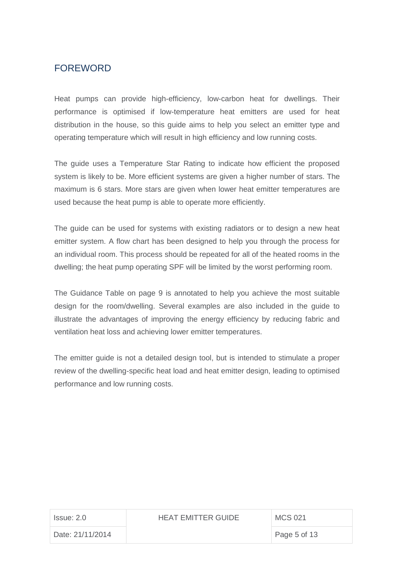## <span id="page-4-0"></span>FOREWORD

Heat pumps can provide high-efficiency, low-carbon heat for dwellings. Their performance is optimised if low-temperature heat emitters are used for heat distribution in the house, so this guide aims to help you select an emitter type and operating temperature which will result in high efficiency and low running costs.

The guide uses a Temperature Star Rating to indicate how efficient the proposed system is likely to be. More efficient systems are given a higher number of stars. The maximum is 6 stars. More stars are given when lower heat emitter temperatures are used because the heat pump is able to operate more efficiently.

The guide can be used for systems with existing radiators or to design a new heat emitter system. A flow chart has been designed to help you through the process for an individual room. This process should be repeated for all of the heated rooms in the dwelling; the heat pump operating SPF will be limited by the worst performing room.

The Guidance Table on page 9 is annotated to help you achieve the most suitable design for the room/dwelling. Several examples are also included in the guide to illustrate the advantages of improving the energy efficiency by reducing fabric and ventilation heat loss and achieving lower emitter temperatures.

The emitter guide is not a detailed design tool, but is intended to stimulate a proper review of the dwelling-specific heat load and heat emitter design, leading to optimised performance and low running costs.

| Issue: 2.0       | <b>HEAT EMITTER GUIDE</b> | MCS 021      |
|------------------|---------------------------|--------------|
| Date: 21/11/2014 |                           | Page 5 of 13 |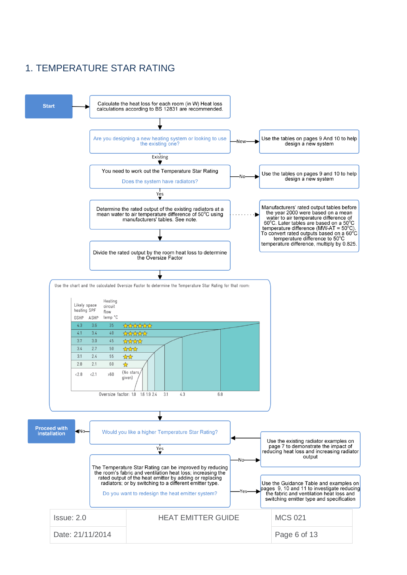## <span id="page-5-0"></span>1. TEMPERATURE STAR RATING

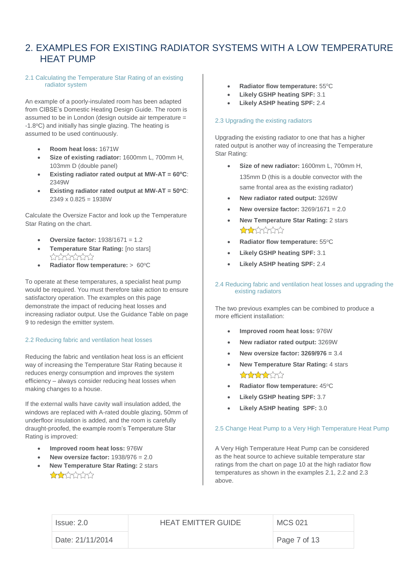## <span id="page-6-0"></span>2. EXAMPLES FOR EXISTING RADIATOR SYSTEMS WITH A LOW TEMPERATURE HEAT PUMP

### <span id="page-6-1"></span>2.1 Calculating the Temperature Star Rating of an existing radiator system

An example of a poorly-insulated room has been adapted from CIBSE's Domestic Heating Design Guide. The room is assumed to be in London (design outside air temperature = -1.8°C) and initially has single glazing. The heating is assumed to be used continuously.

- **Room heat loss:** 1671W
- **Size of existing radiator:** 1600mm L, 700mm H, 103mm D (double panel)
- **Existing radiator rated output at MW-AT = 60<sup>o</sup>C**: 2349W
- **Existing radiator rated output at MW-AT = 50<sup>o</sup>C**:  $2349 \times 0.825 = 1938W$

Calculate the Oversize Factor and look up the Temperature Star Rating on the chart.

- **Oversize factor:** 1938/1671 = 1.2
- **Temperature Star Rating:** [no stars] \*\*\*\*\*\*\*\*\*
- **Radiator flow temperature:** > 60°C

To operate at these temperatures, a specialist heat pump would be required. You must therefore take action to ensure satisfactory operation. The examples on this page demonstrate the impact of reducing heat losses and increasing radiator output. Use the Guidance Table on page 9 to redesign the emitter system.

### <span id="page-6-2"></span>2.2 Reducing fabric and ventilation heat losses

Reducing the fabric and ventilation heat loss is an efficient way of increasing the Temperature Star Rating because it reduces energy consumption and improves the system efficiency – always consider reducing heat losses when making changes to a house.

If the external walls have cavity wall insulation added, the windows are replaced with A-rated double glazing, 50mm of underfloor insulation is added, and the room is carefully draught-proofed, the example room's Temperature Star Rating is improved:

- **Improved room heat loss:** 976W
- **New oversize factor:** 1938/976 = 2.0
- **New Temperature Star Rating:** 2 stars  $\frac{1}{2} \sum_{i=1}^{3} \sum_{j=1}^{3} \sum_{j=1}^{3} \sum_{j=1}^{3} \sum_{j=1}^{3} \sum_{j=1}^{3} \sum_{j=1}^{3} \sum_{j=1}^{3} \sum_{j=1}^{3} \sum_{j=1}^{3} \sum_{j=1}^{3} \sum_{j=1}^{3} \sum_{j=1}^{3} \sum_{j=1}^{3} \sum_{j=1}^{3} \sum_{j=1}^{3} \sum_{j=1}^{3} \sum_{j=1}^{3} \sum_{j=1}^{3} \sum_{j=1}^{3} \sum_{j=1}^{3} \sum_{$
- **Radiator flow temperature:** 55°C
- **Likely GSHP heating SPF:** 3.1
- **Likely ASHP heating SPF:** 2.4

#### <span id="page-6-3"></span>2.3 Upgrading the existing radiators

Upgrading the existing radiator to one that has a higher rated output is another way of increasing the Temperature Star Rating:

- **Size of new radiator:** 1600mm L, 700mm H, 135mm D (this is a double convector with the same frontal area as the existing radiator)
- **New radiator rated output:** 3269W
- **New oversize factor:** 3269/1671 = 2.0
- **New Temperature Star Rating:** 2 stars **ATATATAT**
- **Radiator flow temperature: 55°C**
- **Likely GSHP heating SPF:** 3.1
- **Likely ASHP heating SPF:** 2.4

### <span id="page-6-4"></span>2.4 Reducing fabric and ventilation heat losses and upgrading the existing radiators

The two previous examples can be combined to produce a more efficient installation:

- **Improved room heat loss:** 976W
- **New radiator rated output:** 3269W
- **New oversize factor: 3269/976 =** 3.4
- **New Temperature Star Rating:** 4 stars \*\*\*\*\*\*
- **Radiator flow temperature: 45°C**
- **Likely GSHP heating SPF:** 3.7
- **Likely ASHP heating SPF:** 3.0

#### <span id="page-6-5"></span>2.5 Change Heat Pump to a Very High Temperature Heat Pump

A Very High Temperature Heat Pump can be considered as the heat source to achieve suitable temperature star ratings from the chart on page 10 at the high radiator flow temperatures as shown in the examples 2.1, 2.2 and 2.3 above.

| Issue: 2.0       | <b>HEAT EMITTER GUIDE</b> | MCS 021      |  |
|------------------|---------------------------|--------------|--|
| Date: 21/11/2014 |                           | Page 7 of 13 |  |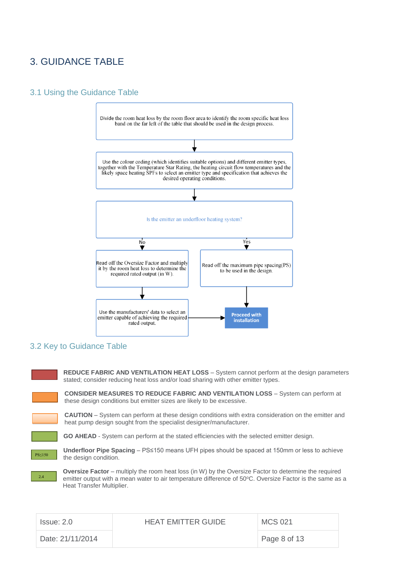## <span id="page-7-0"></span>3. GUIDANCE TABLE

### <span id="page-7-1"></span>3.1 Using the Guidance Table



### <span id="page-7-2"></span>3.2 Key to Guidance Table

**REDUCE FABRIC AND VENTILATION HEAT LOSS** – System cannot perform at the design parameters stated; consider reducing heat loss and/or load sharing with other emitter types.

**CONSIDER MEASURES TO REDUCE FABRIC AND VENTILATION LOSS** – System can perform at these design conditions but emitter sizes are likely to be excessive.

**CAUTION** – System can perform at these design conditions with extra consideration on the emitter and heat pump design sought from the specialist designer/manufacturer.

**GO AHEAD** - System can perform at the stated efficiencies with the selected emitter design.



2.4

**Underfloor Pipe Spacing** – PS≤150 means UFH pipes should be spaced at 150mm or less to achieve the design condition.

**Oversize Factor** – multiply the room heat loss (in W) by the Oversize Factor to determine the required emitter output with a mean water to air temperature difference of 50°C. Oversize Factor is the same as a Heat Transfer Multiplier.

| Issue: 2.0       | <b>HEAT EMITTER GUIDE</b> | <b>MCS 021</b> |
|------------------|---------------------------|----------------|
| Date: 21/11/2014 |                           | Page 8 of 13   |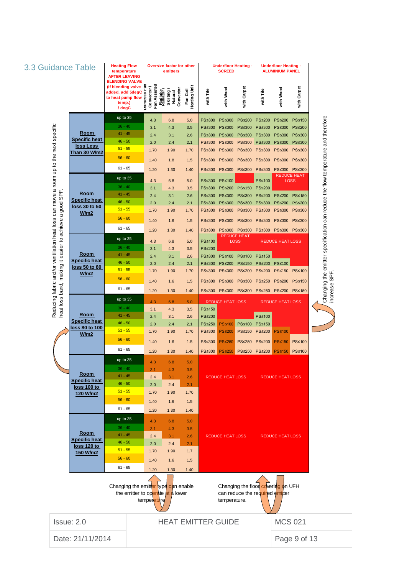<span id="page-8-0"></span>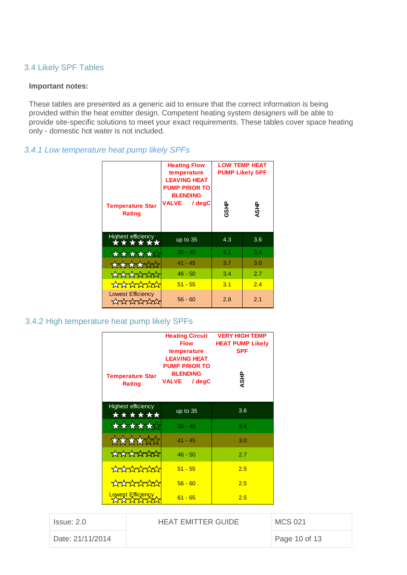### <span id="page-9-0"></span>3.4 Likely SPF Tables

### **Important notes:**

These tables are presented as a generic aid to ensure that the correct information is being provided within the heat emitter design. Competent heating system designers will be able to provide site-specific solutions to meet your exact requirements. These tables cover space heating only - domestic hot water is not included.

### *3.4.1 Low temperature heat pump likely SPFs*

| <b>Temperature Star</b><br>Rating            | <b>Heating Flow</b><br>temperature<br><b>LEAVING HEAT</b><br><b>PUMP PRIOR TO</b><br><b>BLENDING</b><br>VALVE / degC | <b>GRSHP</b> | <b>LOW TEMP HEAT</b><br><b>PUMP Likely SPF</b><br>ASHP |
|----------------------------------------------|----------------------------------------------------------------------------------------------------------------------|--------------|--------------------------------------------------------|
| Highest efficiency<br><b>ALLANDIA</b>        | up to 35                                                                                                             | 4.3          | 3.6                                                    |
| XXXXXXX                                      | $36 - 40$                                                                                                            | 4.1          | 3.4                                                    |
| <b>XXXXXXXXX</b>                             | $41 - 45$                                                                                                            | 3.7          | 3.0                                                    |
| *******                                      | $46 - 50$                                                                                                            | 3.4          | 2.7                                                    |
| <b>KAYAAAAA</b>                              | $51 - 55$                                                                                                            | 3.1          | 2.4                                                    |
| <b>Lowest Efficiency</b><br><b>ATA ATATA</b> | $56 - 60$                                                                                                            | 2.8          | 2.1                                                    |

## 3.4.2 High temperature heat pump likely SPFs

| <b>Temperature Star</b><br>Rating | <b>Heating Circuit</b><br><b>Flow</b><br>temperature<br><b>LEAVING HEAT</b><br><b>PUMP PRIOR TO</b><br><b>BLENDING</b><br><b>VALVE</b><br>/ degC | <b>VERY HIGH TEMP</b><br><b>HEAT PUMP Likely</b><br><b>SPF</b><br>ASHP |
|-----------------------------------|--------------------------------------------------------------------------------------------------------------------------------------------------|------------------------------------------------------------------------|
| Highest efficiency<br>******      | up to 35                                                                                                                                         | 3.6                                                                    |
| $\star\star\star\star$            | $36 - 40$                                                                                                                                        | 3.4                                                                    |
| ******                            | $41 - 45$                                                                                                                                        | 3.0                                                                    |
| <b>Andrichnich</b>                | $46 - 50$                                                                                                                                        | 2.7                                                                    |
| <b>Kokokokokokoko</b>             | $51 - 55$                                                                                                                                        | 2.5                                                                    |
| <b>KAKAKAKAK</b>                  | $56 - 60$                                                                                                                                        | 2.5                                                                    |
| Lowest Efficiency                 | $61 - 65$                                                                                                                                        | 2.5                                                                    |

| Issue: 2.0       | <b>HEAT EMITTER GUIDE</b> | <b>MCS 021</b> |
|------------------|---------------------------|----------------|
| Date: 21/11/2014 |                           | Page 10 of 13  |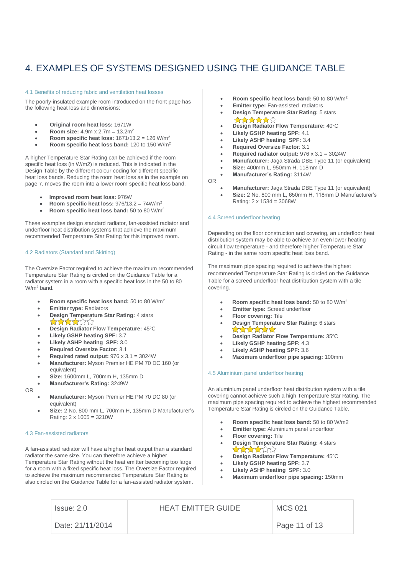## <span id="page-10-0"></span>4. EXAMPLES OF SYSTEMS DESIGNED USING THE GUIDANCE TABLE

#### <span id="page-10-1"></span>4.1 Benefits of reducing fabric and ventilation heat losses

The poorly-insulated example room introduced on the front page has the following heat loss and dimensions:

- **Original room heat loss:** 1671W
- **Room size:** 4.9m x 2.7m = 13.2m<sup>2</sup>
- **Room specific heat loss:** 1671/13.2 = 126 W/m<sup>2</sup>
- **Room specific heat loss band:** 120 to 150 W/m<sup>2</sup>

A higher Temperature Star Rating can be achieved if the room specific heat loss (in W/m2) is reduced. This is indicated in the Design Table by the different colour coding for different specific heat loss bands. Reducing the room heat loss as in the example on page 7, moves the room into a lower room specific heat loss band.

- **Improved room heat loss:** 976W
- **Room specific heat loss:** 976/13.2 = 74W/m<sup>2</sup>
- **Room specific heat loss band:** 50 to 80 W/m<sup>2</sup>

These examples design standard radiator, fan-assisted radiator and underfloor heat distribution systems that achieve the maximum recommended Temperature Star Rating for this improved room.

### <span id="page-10-2"></span>4.2 Radiators (Standard and Skirting)

The Oversize Factor required to achieve the maximum recommended Temperature Star Rating is circled on the Guidance Table for a radiator system in a room with a specific heat loss in the 50 to 80 W/m<sup>2</sup> band.

- **Room specific heat loss band:** 50 to 80 W/m<sup>2</sup>
- **Emitter type:** Radiators
- **Design Temperature Star Rating:** 4 stars **ANAL**WA
- **Design Radiator Flow Temperature: 45°C**
- **Likely GSHP heating SPF:** 3.7
- **Likely ASHP heating SPF:** 3.0
- **Required Oversize Factor:** 3.1
- **Required rated output:** 976 x 3.1 = 3024W
- **Manufacturer:** Myson Premier HE PM 70 DC 160 (or equivalent)
- **Size:** 1600mm L, 700mm H, 135mm D
- **Manufacturer's Rating:** 3249W

OR

- **Manufacturer:** Myson Premier HE PM 70 DC 80 (or equivalent)
- **Size:** 2 No. 800 mm L, 700mm H, 135mm D Manufacturer's Rating: 2 x 1605 = 3210W

#### <span id="page-10-3"></span>4.3 Fan-assisted radiators

A fan-assisted radiator will have a higher heat output than a standard radiator the same size. You can therefore achieve a higher Temperature Star Rating without the heat emitter becoming too large for a room with a fixed specific heat loss. The Oversize Factor required to achieve the maximum recommended Temperature Star Rating is also circled on the Guidance Table for a fan-assisted radiator system.

- **Room specific heat loss band:** 50 to 80 W/m<sup>2</sup>
- **Emitter type:** Fan-assisted radiators
- **Design Temperature Star Rating:** 5 stars
- **Design Radiator Flow Temperature: 40°C**
- **Likely GSHP heating SPF:** 4.1
- **Likely ASHP heating SPF:** 3.4
- **Required Oversize Factor**: 3.1
- **Required radiator output:** 976 x 3.1 = 3024W
- **Manufacturer:** Jaga Strada DBE Type 11 (or equivalent)
- **Size:** 400mm L, 950mm H, 118mm D
- **Manufacturer's Rating:** 3114W
- OR
	- **Manufacturer:** Jaga Strada DBE Type 11 (or equivalent)
	- **Size:** 2 No. 800 mm L, 650mm H, 118mm D Manufacturer's Rating: 2 x 1534 = 3068W

#### <span id="page-10-4"></span>4.4 Screed underfloor heating

Depending on the floor construction and covering, an underfloor heat distribution system may be able to achieve an even lower heating circuit flow temperature - and therefore higher Temperature Star Rating - in the same room specific heat loss band.

The maximum pipe spacing required to achieve the highest recommended Temperature Star Rating is circled on the Guidance Table for a screed underfloor heat distribution system with a tile covering.

- **Room specific heat loss band:** 50 to 80 W/m<sup>2</sup>
- **Emitter type:** Screed underfloor
- **Floor covering:** Tile
- **Design Temperature Star Rating:** 6 stars
- **Design Radiator Flow Temperature: 35°C**
- **Likely GSHP heating SPF:** 4.3
- **Likely ASHP heating SPF:** 3.6
- **Maximum underfloor pipe spacing:** 100mm

#### <span id="page-10-5"></span>4.5 Aluminium panel underfloor heating

An aluminium panel underfloor heat distribution system with a tile covering cannot achieve such a high Temperature Star Rating. The maximum pipe spacing required to achieve the highest recommended Temperature Star Rating is circled on the Guidance Table.

- **Room specific heat loss band:** 50 to 80 W/m2
- **Emitter type:** Aluminium panel underfloor
- **Floor covering:** Tile
- **Design Temperature Star Rating:** 4 stars **ANANA**
- **Design Radiator Flow Temperature: 45°C**
- **Likely GSHP heating SPF:** 3.7
- **Likely ASHP heating SPF:** 3.0
- **Maximum underfloor pipe spacing:** 150mm

| Issue: 2.0       | <b>HEAT EMITTER GUIDE</b> | <b>MCS 021</b> |
|------------------|---------------------------|----------------|
| Date: 21/11/2014 |                           | Page 11 of 13  |
|                  |                           |                |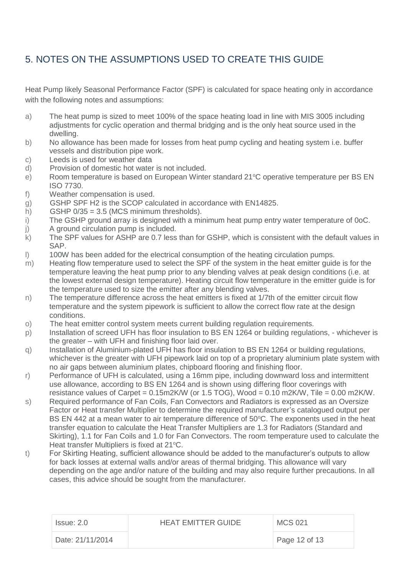## <span id="page-11-0"></span>5. NOTES ON THE ASSUMPTIONS USED TO CREATE THIS GUIDE

Heat Pump likely Seasonal Performance Factor (SPF) is calculated for space heating only in accordance with the following notes and assumptions:

- a) The heat pump is sized to meet 100% of the space heating load in line with MIS 3005 including adjustments for cyclic operation and thermal bridging and is the only heat source used in the dwelling.
- b) No allowance has been made for losses from heat pump cycling and heating system i.e. buffer vessels and distribution pipe work.
- c) Leeds is used for weather data
- d) Provision of domestic hot water is not included.
- e) Room temperature is based on European Winter standard 21°C operative temperature per BS EN ISO 7730.
- f) Weather compensation is used.
- g) GSHP SPF H2 is the SCOP calculated in accordance with EN14825.
- h) GSHP  $0/35 = 3.5$  (MCS minimum thresholds).
- i) The GSHP ground array is designed with a minimum heat pump entry water temperature of 0oC.
- j) A ground circulation pump is included.
- $k$ ) The SPF values for ASHP are 0.7 less than for GSHP, which is consistent with the default values in SAP.
- l) 100W has been added for the electrical consumption of the heating circulation pumps.
- m) Heating flow temperature used to select the SPF of the system in the heat emitter guide is for the temperature leaving the heat pump prior to any blending valves at peak design conditions (i.e. at the lowest external design temperature). Heating circuit flow temperature in the emitter guide is for the temperature used to size the emitter after any blending valves.
- n) The temperature difference across the heat emitters is fixed at 1/7th of the emitter circuit flow temperature and the system pipework is sufficient to allow the correct flow rate at the design conditions.
- o) The heat emitter control system meets current building regulation requirements.
- p) Installation of screed UFH has floor insulation to BS EN 1264 or building regulations, whichever is the greater – with UFH and finishing floor laid over.
- q) Installation of Aluminium-plated UFH has floor insulation to BS EN 1264 or building regulations, whichever is the greater with UFH pipework laid on top of a proprietary aluminium plate system with no air gaps between aluminium plates, chipboard flooring and finishing floor.
- r) Performance of UFH is calculated, using a 16mm pipe, including downward loss and intermittent use allowance, according to BS EN 1264 and is shown using differing floor coverings with resistance values of Carpet =  $0.15$ m2K/W (or  $1.5$  TOG), Wood =  $0.10$  m2K/W, Tile =  $0.00$  m2K/W.
- s) Required performance of Fan Coils, Fan Convectors and Radiators is expressed as an Oversize Factor or Heat transfer Multiplier to determine the required manufacturer's catalogued output per BS EN 442 at a mean water to air temperature difference of  $50^{\circ}$ C. The exponents used in the heat transfer equation to calculate the Heat Transfer Multipliers are 1.3 for Radiators (Standard and Skirting), 1.1 for Fan Coils and 1.0 for Fan Convectors. The room temperature used to calculate the Heat transfer Multipliers is fixed at 21°C.
- t) For Skirting Heating, sufficient allowance should be added to the manufacturer's outputs to allow for back losses at external walls and/or areas of thermal bridging. This allowance will vary depending on the age and/or nature of the building and may also require further precautions. In all cases, this advice should be sought from the manufacturer.

| Issue: 2.0       | <b>HEAT EMITTER GUIDE</b> | MCS 021       |
|------------------|---------------------------|---------------|
| Date: 21/11/2014 |                           | Page 12 of 13 |